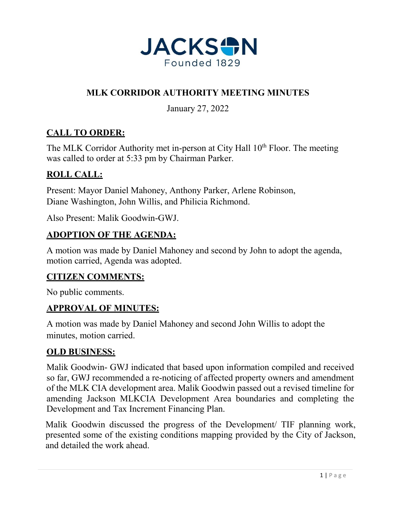

# **MLK CORRIDOR AUTHORITY MEETING MINUTES**

January 27, 2022

# **CALL TO ORDER:**

The MLK Corridor Authority met in-person at City Hall 10<sup>th</sup> Floor. The meeting was called to order at 5:33 pm by Chairman Parker.

# **ROLL CALL:**

Present: Mayor Daniel Mahoney, Anthony Parker, Arlene Robinson, Diane Washington, John Willis, and Philicia Richmond.

Also Present: Malik Goodwin-GWJ.

#### **ADOPTION OF THE AGENDA:**

A motion was made by Daniel Mahoney and second by John to adopt the agenda, motion carried, Agenda was adopted.

## **CITIZEN COMMENTS:**

No public comments.

#### **APPROVAL OF MINUTES:**

A motion was made by Daniel Mahoney and second John Willis to adopt the minutes, motion carried.

#### **OLD BUSINESS:**

Malik Goodwin- GWJ indicated that based upon information compiled and received so far, GWJ recommended a re-noticing of affected property owners and amendment of the MLK CIA development area. Malik Goodwin passed out a revised timeline for amending Jackson MLKCIA Development Area boundaries and completing the Development and Tax Increment Financing Plan.

Malik Goodwin discussed the progress of the Development/ TIF planning work, presented some of the existing conditions mapping provided by the City of Jackson, and detailed the work ahead.